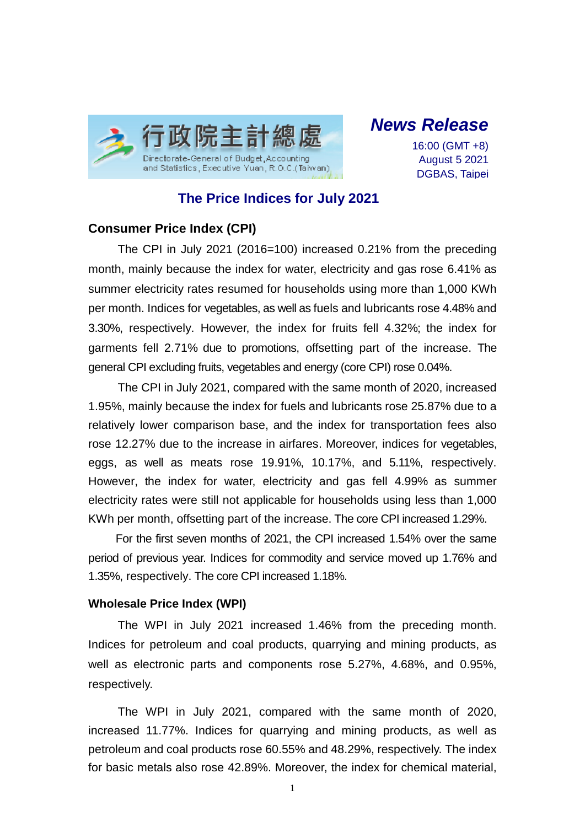

*News Release*

16:00 (GMT +8) August 5 2021 DGBAS, Taipei

# **The Price Indices for July 2021**

### **Consumer Price Index (CPI)**

The CPI in July 2021 (2016=100) increased 0.21% from the preceding month, mainly because the index for water, electricity and gas rose 6.41% as summer electricity rates resumed for households using more than 1,000 KWh per month. Indices for vegetables, as well as fuels and lubricants rose 4.48% and 3.30%, respectively. However, the index for fruits fell 4.32%; the index for garments fell 2.71% due to promotions, offsetting part of the increase. The general CPI excluding fruits, vegetables and energy (core CPI) rose 0.04%.

The CPI in July 2021, compared with the same month of 2020, increased 1.95%, mainly because the index for fuels and lubricants rose 25.87% due to a relatively lower comparison base, and the index for transportation fees also rose 12.27% due to the increase in airfares. Moreover, indices for vegetables, eggs, as well as meats rose 19.91%, 10.17%, and 5.11%, respectively. However, the index for water, electricity and gas fell 4.99% as summer electricity rates were still not applicable for households using less than 1,000 KWh per month, offsetting part of the increase. The core CPI increased 1.29%.

For the first seven months of 2021, the CPI increased 1.54% over the same period of previous year. Indices for commodity and service moved up 1.76% and 1.35%, respectively. The core CPI increased 1.18%.

#### **Wholesale Price Index (WPI)**

The WPI in July 2021 increased 1.46% from the preceding month. Indices for petroleum and coal products, quarrying and mining products, as well as electronic parts and components rose 5.27%, 4.68%, and 0.95%, respectively.

The WPI in July 2021, compared with the same month of 2020, increased 11.77%. Indices for quarrying and mining products, as well as petroleum and coal products rose 60.55% and 48.29%, respectively. The index for basic metals also rose 42.89%. Moreover, the index for chemical material,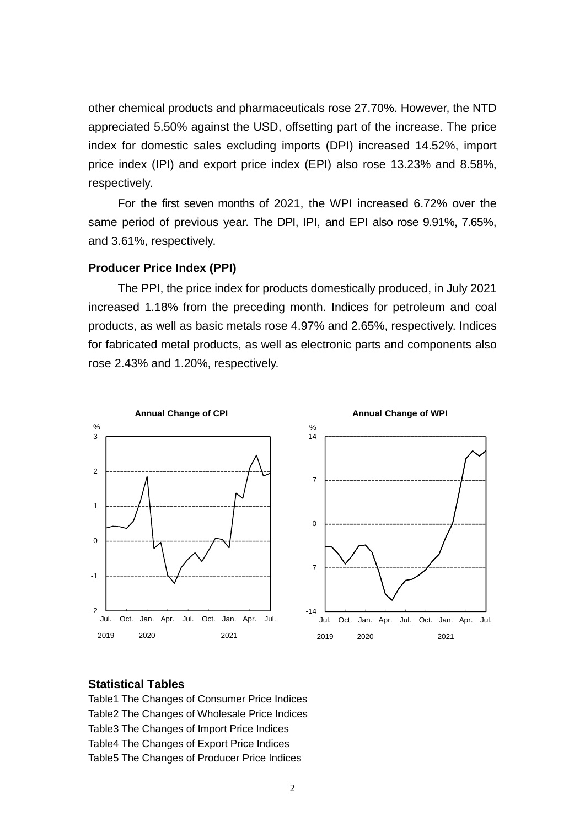other chemical products and pharmaceuticals rose 27.70%. However, the NTD appreciated 5.50% against the USD, offsetting part of the increase. The price index for domestic sales excluding imports (DPI) increased 14.52%, import price index (IPI) and export price index (EPI) also rose 13.23% and 8.58%, respectively.

For the first seven months of 2021, the WPI increased 6.72% over the same period of previous year. The DPI, IPI, and EPI also rose 9.91%, 7.65%, and 3.61%, respectively.

#### **Producer Price Index (PPI)**

The PPI, the price index for products domestically produced, in July 2021 increased 1.18% from the preceding month. Indices for petroleum and coal products, as well as basic metals rose 4.97% and 2.65%, respectively. Indices for fabricated metal products, as well as electronic parts and components also rose 2.43% and 1.20%, respectively.



#### **Statistical Tables**

Table1 The Changes of Consumer Price Indices Table2 The Changes of Wholesale Price Indices Table3 The Changes of Import Price Indices Table4 The Changes of Export Price Indices Table5 The Changes of Producer Price Indices